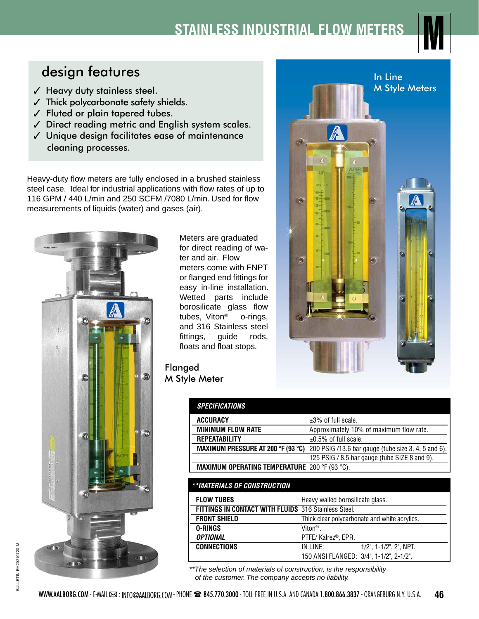## **STAINLESS INDUSTRIAL FLOW METER**



## design features

- $<$  Heavy duty stainless steel.
- $\checkmark$  Thick polycarbonate safety shields.
- $\checkmark$  Fluted or plain tapered tubes.
- $J$  Direct reading metric and English system scales.
- $<$  Unique design facilitates ease of maintenance cleaning processes.

Heavy-duty flow meters are fully enclosed in a brushed stainless steel case. Ideal for industrial applications with flow rates of up to 116 GPM / 440 L/min and 250 SCFM /7080 L/min. Used for flow measurements of liquids (water) and gases (air).



Meters are graduated for direct reading of water and air. Flow meters come with FNPT or flanged end fittings for easy in-line installation. Wetted parts include borosilicate glass flow tubes, Viton® o-rings, and 316 Stainless steel fittings, guide rods, floats and float stops.

Flanged M Style Meter

| <b>SPECIFICATIONS</b>                                |                                                                                        |
|------------------------------------------------------|----------------------------------------------------------------------------------------|
| ACCURACY                                             | $\pm 3\%$ of full scale.                                                               |
| <b>MINIMUM FLOW RATE</b>                             | Approximately 10% of maximum flow rate.                                                |
| <b>REPEATABILITY</b>                                 | $\pm 0.5\%$ of full scale.                                                             |
|                                                      | MAXIMUM PRESSURE AT 200 °F (93 °C) 200 PSIG /13.6 bar gauge (tube size 3, 4, 5 and 6). |
|                                                      | 125 PSIG / 8.5 bar gauge (tube SIZE 8 and 9).                                          |
| <b>MAXIMUM OPERATING TEMPERATURE 200 °F (93 °C).</b> |                                                                                        |

| **MATERIALS OF CONSTRUCTION                          |                                               |  |  |  |
|------------------------------------------------------|-----------------------------------------------|--|--|--|
| <b>FLOW TUBES</b>                                    | Heavy walled borosilicate glass.              |  |  |  |
| FITTINGS IN CONTACT WITH FLUIDS 316 Stainless Steel. |                                               |  |  |  |
| <b>FRONT SHIELD</b>                                  | Thick clear polycarbonate and white acrylics. |  |  |  |
| 0-RINGS                                              | Viton <sup>®</sup> .                          |  |  |  |
| <b>OPTIONAL</b>                                      | PTFE/ Kalrez <sup>®</sup> , EPR.              |  |  |  |
| <b>CONNECTIONS</b>                                   | IN LINE:<br>$1/2$ ", $1-1/2$ ", $2$ ", NPT.   |  |  |  |
|                                                      | 150 ANSI FLANGED: 3/4", 1-1/2", 2-1/2".       |  |  |  |

*\*\*The selection of materials of construction, is the responsibility of the customer. The company accepts no liability.*